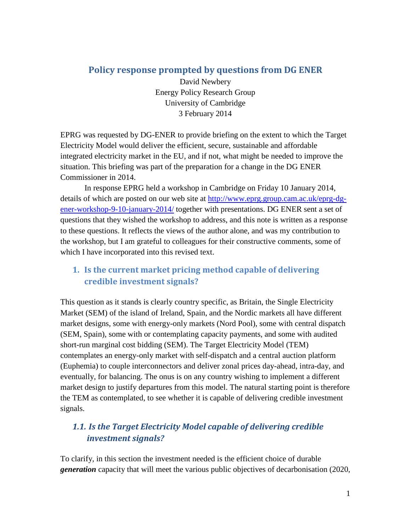### **Policy response prompted by questions from DG ENER**

David Newbery Energy Policy Research Group University of Cambridge 3 February 2014

EPRG was requested by DG-ENER to provide briefing on the extent to which the Target Electricity Model would deliver the efficient, secure, sustainable and affordable integrated electricity market in the EU, and if not, what might be needed to improve the situation. This briefing was part of the preparation for a change in the DG ENER Commissioner in 2014.

In response EPRG held a workshop in Cambridge on Friday 10 January 2014, details of which are posted on our web site at [http://www.eprg.group.cam.ac.uk/eprg-dg](http://www.eprg.group.cam.ac.uk/eprg-dg-ener-workshop-9-10-january-2014/)[ener-workshop-9-10-january-2014/](http://www.eprg.group.cam.ac.uk/eprg-dg-ener-workshop-9-10-january-2014/) together with presentations. DG ENER sent a set of questions that they wished the workshop to address, and this note is written as a response to these questions. It reflects the views of the author alone, and was my contribution to the workshop, but I am grateful to colleagues for their constructive comments, some of which I have incorporated into this revised text.

# **1. Is the current market pricing method capable of delivering credible investment signals?**

This question as it stands is clearly country specific, as Britain, the Single Electricity Market (SEM) of the island of Ireland, Spain, and the Nordic markets all have different market designs, some with energy-only markets (Nord Pool), some with central dispatch (SEM, Spain), some with or contemplating capacity payments, and some with audited short-run marginal cost bidding (SEM). The Target Electricity Model (TEM) contemplates an energy-only market with self-dispatch and a central auction platform (Euphemia) to couple interconnectors and deliver zonal prices day-ahead, intra-day, and eventually, for balancing. The onus is on any country wishing to implement a different market design to justify departures from this model. The natural starting point is therefore the TEM as contemplated, to see whether it is capable of delivering credible investment signals.

# *1.1. Is the Target Electricity Model capable of delivering credible investment signals?*

To clarify, in this section the investment needed is the efficient choice of durable *generation* capacity that will meet the various public objectives of decarbonisation (2020,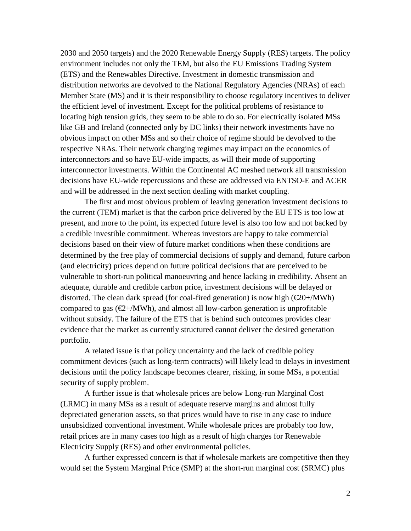2030 and 2050 targets) and the 2020 Renewable Energy Supply (RES) targets. The policy environment includes not only the TEM, but also the EU Emissions Trading System (ETS) and the Renewables Directive. Investment in domestic transmission and distribution networks are devolved to the National Regulatory Agencies (NRAs) of each Member State (MS) and it is their responsibility to choose regulatory incentives to deliver the efficient level of investment. Except for the political problems of resistance to locating high tension grids, they seem to be able to do so. For electrically isolated MSs like GB and Ireland (connected only by DC links) their network investments have no obvious impact on other MSs and so their choice of regime should be devolved to the respective NRAs. Their network charging regimes may impact on the economics of interconnectors and so have EU-wide impacts, as will their mode of supporting interconnector investments. Within the Continental AC meshed network all transmission decisions have EU-wide repercussions and these are addressed via ENTSO-E and ACER and will be addressed in the next section dealing with market coupling.

The first and most obvious problem of leaving generation investment decisions to the current (TEM) market is that the carbon price delivered by the EU ETS is too low at present, and more to the point, its expected future level is also too low and not backed by a credible investible commitment. Whereas investors are happy to take commercial decisions based on their view of future market conditions when these conditions are determined by the free play of commercial decisions of supply and demand, future carbon (and electricity) prices depend on future political decisions that are perceived to be vulnerable to short-run political manoeuvring and hence lacking in credibility. Absent an adequate, durable and credible carbon price, investment decisions will be delayed or distorted. The clean dark spread (for coal-fired generation) is now high  $(\mathcal{Q}0+/\text{MWh})$ compared to gas  $(\mathcal{Q}+/MWh)$ , and almost all low-carbon generation is unprofitable without subsidy. The failure of the ETS that is behind such outcomes provides clear evidence that the market as currently structured cannot deliver the desired generation portfolio.

A related issue is that policy uncertainty and the lack of credible policy commitment devices (such as long-term contracts) will likely lead to delays in investment decisions until the policy landscape becomes clearer, risking, in some MSs, a potential security of supply problem.

A further issue is that wholesale prices are below Long-run Marginal Cost (LRMC) in many MSs as a result of adequate reserve margins and almost fully depreciated generation assets, so that prices would have to rise in any case to induce unsubsidized conventional investment. While wholesale prices are probably too low, retail prices are in many cases too high as a result of high charges for Renewable Electricity Supply (RES) and other environmental policies.

A further expressed concern is that if wholesale markets are competitive then they would set the System Marginal Price (SMP) at the short-run marginal cost (SRMC) plus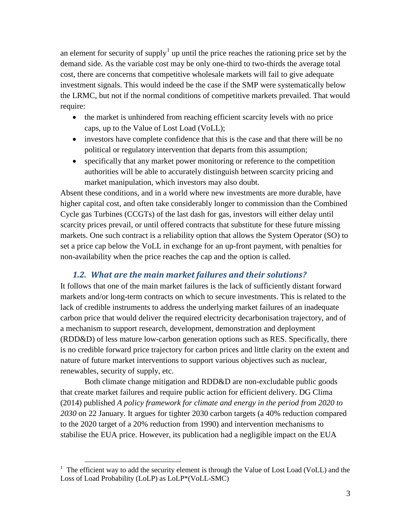an element for security of supply<sup>[1](#page-2-0)</sup> up until the price reaches the rationing price set by the demand side. As the variable cost may be only one-third to two-thirds the average total cost, there are concerns that competitive wholesale markets will fail to give adequate investment signals. This would indeed be the case if the SMP were systematically below the LRMC, but not if the normal conditions of competitive markets prevailed. That would require:

- the market is unhindered from reaching efficient scarcity levels with no price caps, up to the Value of Lost Load (VoLL);
- investors have complete confidence that this is the case and that there will be no political or regulatory intervention that departs from this assumption;
- specifically that any market power monitoring or reference to the competition authorities will be able to accurately distinguish between scarcity pricing and market manipulation, which investors may also doubt.

Absent these conditions, and in a world where new investments are more durable, have higher capital cost, and often take considerably longer to commission than the Combined Cycle gas Turbines (CCGTs) of the last dash for gas, investors will either delay until scarcity prices prevail, or until offered contracts that substitute for these future missing markets. One such contract is a reliability option that allows the System Operator (SO) to set a price cap below the VoLL in exchange for an up-front payment, with penalties for non-availability when the price reaches the cap and the option is called.

#### *1.2. What are the main market failures and their solutions?*

It follows that one of the main market failures is the lack of sufficiently distant forward markets and/or long-term contracts on which to secure investments. This is related to the lack of credible instruments to address the underlying market failures of an inadequate carbon price that would deliver the required electricity decarbonisation trajectory, and of a mechanism to support research, development, demonstration and deployment (RDD&D) of less mature low-carbon generation options such as RES. Specifically, there is no credible forward price trajectory for carbon prices and little clarity on the extent and nature of future market interventions to support various objectives such as nuclear, renewables, security of supply, etc.

Both climate change mitigation and RDD&D are non-excludable public goods that create market failures and require public action for efficient delivery. DG Clima (2014) published *A policy framework for climate and energy in the period from 2020 to 2030* on 22 January. It argues for tighter 2030 carbon targets (a 40% reduction compared to the 2020 target of a 20% reduction from 1990) and intervention mechanisms to stabilise the EUA price. However, its publication had a negligible impact on the EUA

<span id="page-2-0"></span><sup>&</sup>lt;sup>1</sup> The efficient way to add the security element is through the Value of Lost Load (VoLL) and the Loss of Load Probability (LoLP) as LoLP\*(VoLL-SMC)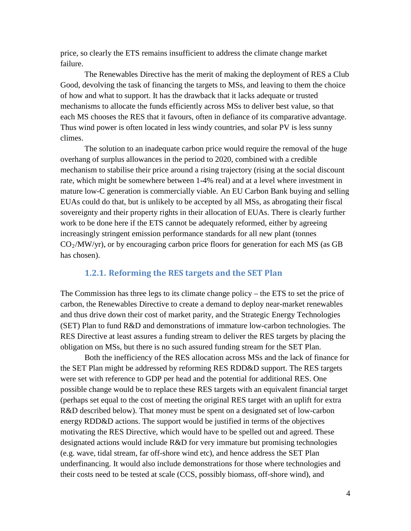price, so clearly the ETS remains insufficient to address the climate change market failure.

The Renewables Directive has the merit of making the deployment of RES a Club Good, devolving the task of financing the targets to MSs, and leaving to them the choice of how and what to support. It has the drawback that it lacks adequate or trusted mechanisms to allocate the funds efficiently across MSs to deliver best value, so that each MS chooses the RES that it favours, often in defiance of its comparative advantage. Thus wind power is often located in less windy countries, and solar PV is less sunny climes.

The solution to an inadequate carbon price would require the removal of the huge overhang of surplus allowances in the period to 2020, combined with a credible mechanism to stabilise their price around a rising trajectory (rising at the social discount rate, which might be somewhere between 1-4% real) and at a level where investment in mature low-C generation is commercially viable. An EU Carbon Bank buying and selling EUAs could do that, but is unlikely to be accepted by all MSs, as abrogating their fiscal sovereignty and their property rights in their allocation of EUAs. There is clearly further work to be done here if the ETS cannot be adequately reformed, either by agreeing increasingly stringent emission performance standards for all new plant (tonnes  $CO<sub>2</sub>/MW/yr)$ , or by encouraging carbon price floors for generation for each MS (as GB has chosen).

#### **1.2.1. Reforming the RES targets and the SET Plan**

The Commission has three legs to its climate change policy – the ETS to set the price of carbon, the Renewables Directive to create a demand to deploy near-market renewables and thus drive down their cost of market parity, and the Strategic Energy Technologies (SET) Plan to fund R&D and demonstrations of immature low-carbon technologies. The RES Directive at least assures a funding stream to deliver the RES targets by placing the obligation on MSs, but there is no such assured funding stream for the SET Plan.

Both the inefficiency of the RES allocation across MSs and the lack of finance for the SET Plan might be addressed by reforming RES RDD&D support. The RES targets were set with reference to GDP per head and the potential for additional RES. One possible change would be to replace these RES targets with an equivalent financial target (perhaps set equal to the cost of meeting the original RES target with an uplift for extra R&D described below). That money must be spent on a designated set of low-carbon energy RDD&D actions. The support would be justified in terms of the objectives motivating the RES Directive, which would have to be spelled out and agreed. These designated actions would include R&D for very immature but promising technologies (e.g. wave, tidal stream, far off-shore wind etc), and hence address the SET Plan underfinancing. It would also include demonstrations for those where technologies and their costs need to be tested at scale (CCS, possibly biomass, off-shore wind), and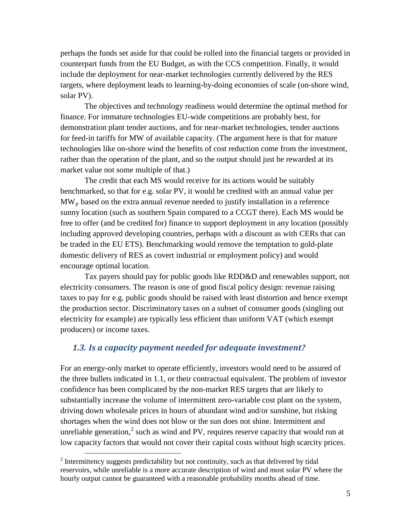perhaps the funds set aside for that could be rolled into the financial targets or provided in counterpart funds from the EU Budget, as with the CCS competition. Finally, it would include the deployment for near-market technologies currently delivered by the RES targets, where deployment leads to learning-by-doing economies of scale (on-shore wind, solar PV).

The objectives and technology readiness would determine the optimal method for finance. For immature technologies EU-wide competitions are probably best, for demonstration plant tender auctions, and for near-market technologies, tender auctions for feed-in tariffs for MW of available capacity. (The argument here is that for mature technologies like on-shore wind the benefits of cost reduction come from the investment, rather than the operation of the plant, and so the output should just be rewarded at its market value not some multiple of that.)

The credit that each MS would receive for its actions would be suitably benchmarked, so that for e.g. solar PV, it would be credited with an annual value per  $MW<sub>p</sub>$  based on the extra annual revenue needed to justify installation in a reference sunny location (such as southern Spain compared to a CCGT there). Each MS would be free to offer (and be credited for) finance to support deployment in any location (possibly including approved developing countries, perhaps with a discount as with CERs that can be traded in the EU ETS). Benchmarking would remove the temptation to gold-plate domestic delivery of RES as covert industrial or employment policy) and would encourage optimal location.

Tax payers should pay for public goods like RDD&D and renewables support, not electricity consumers. The reason is one of good fiscal policy design: revenue raising taxes to pay for e.g. public goods should be raised with least distortion and hence exempt the production sector. Discriminatory taxes on a subset of consumer goods (singling out electricity for example) are typically less efficient than uniform VAT (which exempt producers) or income taxes.

#### *1.3. Is a capacity payment needed for adequate investment?*

For an energy-only market to operate efficiently, investors would need to be assured of the three bullets indicated in 1.1, or their contractual equivalent. The problem of investor confidence has been complicated by the non-market RES targets that are likely to substantially increase the volume of intermittent zero-variable cost plant on the system, driving down wholesale prices in hours of abundant wind and/or sunshine, but risking shortages when the wind does not blow or the sun does not shine. Intermittent and unreliable generation,<sup>[2](#page-4-0)</sup> such as wind and PV, requires reserve capacity that would run at low capacity factors that would not cover their capital costs without high scarcity prices.

<span id="page-4-0"></span> $2$  Intermittency suggests predictability but not continuity, such as that delivered by tidal reservoirs, while unreliable is a more accurate description of wind and most solar PV where the hourly output cannot be guaranteed with a reasonable probability months ahead of time.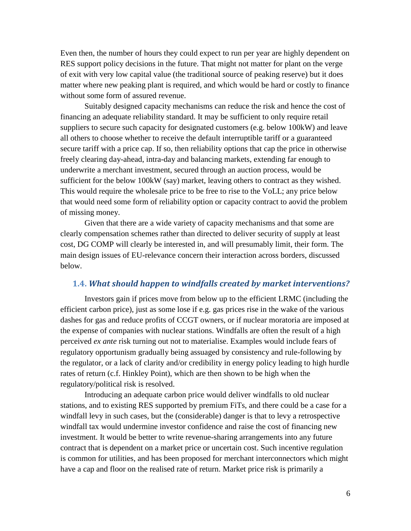Even then, the number of hours they could expect to run per year are highly dependent on RES support policy decisions in the future. That might not matter for plant on the verge of exit with very low capital value (the traditional source of peaking reserve) but it does matter where new peaking plant is required, and which would be hard or costly to finance without some form of assured revenue.

Suitably designed capacity mechanisms can reduce the risk and hence the cost of financing an adequate reliability standard. It may be sufficient to only require retail suppliers to secure such capacity for designated customers (e.g. below 100kW) and leave all others to choose whether to receive the default interruptible tariff or a guaranteed secure tariff with a price cap. If so, then reliability options that cap the price in otherwise freely clearing day-ahead, intra-day and balancing markets, extending far enough to underwrite a merchant investment, secured through an auction process, would be sufficient for the below 100kW (say) market, leaving others to contract as they wished. This would require the wholesale price to be free to rise to the VoLL; any price below that would need some form of reliability option or capacity contract to aovid the problem of missing money.

Given that there are a wide variety of capacity mechanisms and that some are clearly compensation schemes rather than directed to deliver security of supply at least cost, DG COMP will clearly be interested in, and will presumably limit, their form. The main design issues of EU-relevance concern their interaction across borders, discussed below.

#### **1.4.** *What should happen to windfalls created by market interventions?*

Investors gain if prices move from below up to the efficient LRMC (including the efficient carbon price), just as some lose if e.g. gas prices rise in the wake of the various dashes for gas and reduce profits of CCGT owners, or if nuclear moratoria are imposed at the expense of companies with nuclear stations. Windfalls are often the result of a high perceived *ex ante* risk turning out not to materialise. Examples would include fears of regulatory opportunism gradually being assuaged by consistency and rule-following by the regulator, or a lack of clarity and/or credibility in energy policy leading to high hurdle rates of return (c.f. Hinkley Point), which are then shown to be high when the regulatory/political risk is resolved.

Introducing an adequate carbon price would deliver windfalls to old nuclear stations, and to existing RES supported by premium FiTs, and there could be a case for a windfall levy in such cases, but the (considerable) danger is that to levy a retrospective windfall tax would undermine investor confidence and raise the cost of financing new investment. It would be better to write revenue-sharing arrangements into any future contract that is dependent on a market price or uncertain cost. Such incentive regulation is common for utilities, and has been proposed for merchant interconnectors which might have a cap and floor on the realised rate of return. Market price risk is primarily a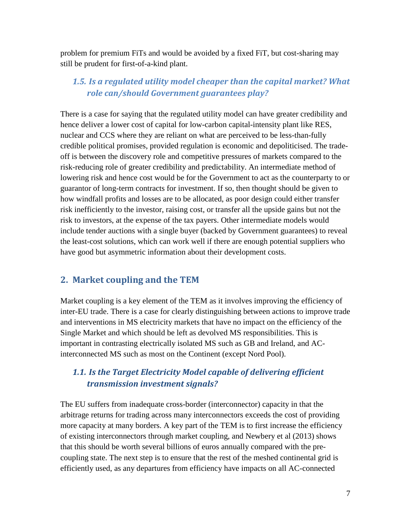problem for premium FiTs and would be avoided by a fixed FiT, but cost-sharing may still be prudent for first-of-a-kind plant.

# *1.5. Is a regulated utility model cheaper than the capital market? What role can/should Government guarantees play?*

There is a case for saying that the regulated utility model can have greater credibility and hence deliver a lower cost of capital for low-carbon capital-intensity plant like RES, nuclear and CCS where they are reliant on what are perceived to be less-than-fully credible political promises, provided regulation is economic and depoliticised. The tradeoff is between the discovery role and competitive pressures of markets compared to the risk-reducing role of greater credibility and predictability. An intermediate method of lowering risk and hence cost would be for the Government to act as the counterparty to or guarantor of long-term contracts for investment. If so, then thought should be given to how windfall profits and losses are to be allocated, as poor design could either transfer risk inefficiently to the investor, raising cost, or transfer all the upside gains but not the risk to investors, at the expense of the tax payers. Other intermediate models would include tender auctions with a single buyer (backed by Government guarantees) to reveal the least-cost solutions, which can work well if there are enough potential suppliers who have good but asymmetric information about their development costs.

#### **2. Market coupling and the TEM**

Market coupling is a key element of the TEM as it involves improving the efficiency of inter-EU trade. There is a case for clearly distinguishing between actions to improve trade and interventions in MS electricity markets that have no impact on the efficiency of the Single Market and which should be left as devolved MS responsibilities. This is important in contrasting electrically isolated MS such as GB and Ireland, and ACinterconnected MS such as most on the Continent (except Nord Pool).

## *1.1. Is the Target Electricity Model capable of delivering efficient transmission investment signals?*

The EU suffers from inadequate cross-border (interconnector) capacity in that the arbitrage returns for trading across many interconnectors exceeds the cost of providing more capacity at many borders. A key part of the TEM is to first increase the efficiency of existing interconnectors through market coupling, and Newbery et al (2013) shows that this should be worth several billions of euros annually compared with the precoupling state. The next step is to ensure that the rest of the meshed continental grid is efficiently used, as any departures from efficiency have impacts on all AC-connected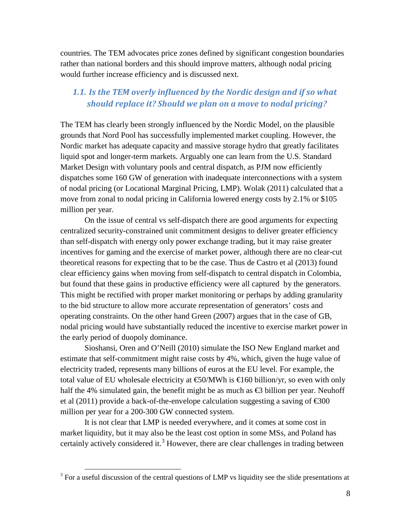countries. The TEM advocates price zones defined by significant congestion boundaries rather than national borders and this should improve matters, although nodal pricing would further increase efficiency and is discussed next.

### *1.1. Is the TEM overly influenced by the Nordic design and if so what should replace it? Should we plan on a move to nodal pricing?*

The TEM has clearly been strongly influenced by the Nordic Model, on the plausible grounds that Nord Pool has successfully implemented market coupling. However, the Nordic market has adequate capacity and massive storage hydro that greatly facilitates liquid spot and longer-term markets. Arguably one can learn from the U.S. Standard Market Design with voluntary pools and central dispatch, as PJM now efficiently dispatches some 160 GW of generation with inadequate interconnections with a system of nodal pricing (or Locational Marginal Pricing, LMP). Wolak (2011) calculated that a move from zonal to nodal pricing in California lowered energy costs by 2.1% or \$105 million per year.

On the issue of central vs self-dispatch there are good arguments for expecting centralized security-constrained unit commitment designs to deliver greater efficiency than self-dispatch with energy only power exchange trading, but it may raise greater incentives for gaming and the exercise of market power, although there are no clear-cut theoretical reasons for expecting that to be the case. Thus de Castro et al (2013) found clear efficiency gains when moving from self-dispatch to central dispatch in Colombia, but found that these gains in productive efficiency were all captured by the generators. This might be rectified with proper market monitoring or perhaps by adding granularity to the bid structure to allow more accurate representation of generators' costs and operating constraints. On the other hand Green (2007) argues that in the case of GB, nodal pricing would have substantially reduced the incentive to exercise market power in the early period of duopoly dominance.

Sioshansi, Oren and O'Neill (2010) simulate the ISO New England market and estimate that self-commitment might raise costs by 4%, which, given the huge value of electricity traded, represents many billions of euros at the EU level. For example, the total value of EU wholesale electricity at  $\bigoplus N$  WWh is  $\bigoplus$  60 billion/yr, so even with only half the 4% simulated gain, the benefit might be as much as  $\bigoplus$  billion per year. Neuhoff et al (2011) provide a back-of-the-envelope calculation suggesting a saving of  $\epsilon$ 300 million per year for a 200-300 GW connected system.

It is not clear that LMP is needed everywhere, and it comes at some cost in market liquidity, but it may also be the least cost option in some MSs, and Poland has certainly actively considered it.<sup>[3](#page-7-0)</sup> However, there are clear challenges in trading between

<span id="page-7-0"></span> $3$  For a useful discussion of the central questions of LMP vs liquidity see the slide presentations at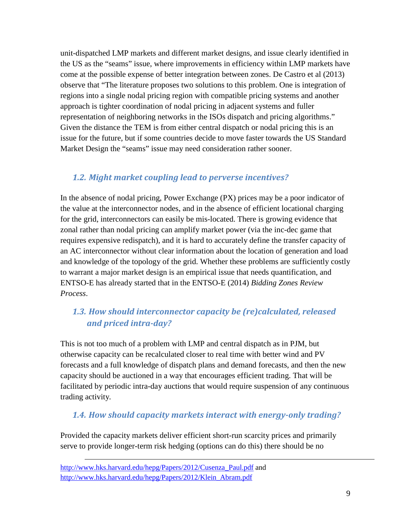unit-dispatched LMP markets and different market designs, and issue clearly identified in the US as the "seams" issue, where improvements in efficiency within LMP markets have come at the possible expense of better integration between zones. De Castro et al (2013) observe that "The literature proposes two solutions to this problem. One is integration of regions into a single nodal pricing region with compatible pricing systems and another approach is tighter coordination of nodal pricing in adjacent systems and fuller representation of neighboring networks in the ISOs dispatch and pricing algorithms." Given the distance the TEM is from either central dispatch or nodal pricing this is an issue for the future, but if some countries decide to move faster towards the US Standard Market Design the "seams" issue may need consideration rather sooner.

## *1.2. Might market coupling lead to perverse incentives?*

In the absence of nodal pricing, Power Exchange (PX) prices may be a poor indicator of the value at the interconnector nodes, and in the absence of efficient locational charging for the grid, interconnectors can easily be mis-located. There is growing evidence that zonal rather than nodal pricing can amplify market power (via the inc-dec game that requires expensive redispatch), and it is hard to accurately define the transfer capacity of an AC interconnector without clear information about the location of generation and load and knowledge of the topology of the grid. Whether these problems are sufficiently costly to warrant a major market design is an empirical issue that needs quantification, and ENTSO-E has already started that in the ENTSO-E (2014) *Bidding Zones Review Process*.

# *1.3. How should interconnector capacity be (re)calculated, released and priced intra-day?*

This is not too much of a problem with LMP and central dispatch as in PJM, but otherwise capacity can be recalculated closer to real time with better wind and PV forecasts and a full knowledge of dispatch plans and demand forecasts, and then the new capacity should be auctioned in a way that encourages efficient trading. That will be facilitated by periodic intra-day auctions that would require suspension of any continuous trading activity*.*

## *1.4. How should capacity markets interact with energy-only trading?*

Provided the capacity markets deliver efficient short-run scarcity prices and primarily serve to provide longer-term risk hedging (options can do this) there should be no

[http://www.hks.harvard.edu/hepg/Papers/2012/Cusenza\\_Paul.pdf](http://www.hks.harvard.edu/hepg/Papers/2012/Cusenza_Paul.pdf) and [http://www.hks.harvard.edu/hepg/Papers/2012/Klein\\_Abram.pdf](http://www.hks.harvard.edu/hepg/Papers/2012/Klein_Abram.pdf)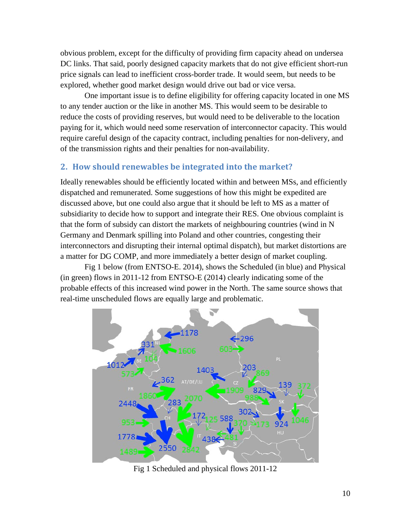obvious problem, except for the difficulty of providing firm capacity ahead on undersea DC links. That said, poorly designed capacity markets that do not give efficient short-run price signals can lead to inefficient cross-border trade. It would seem, but needs to be explored, whether good market design would drive out bad or vice versa.

One important issue is to define eligibility for offering capacity located in one MS to any tender auction or the like in another MS. This would seem to be desirable to reduce the costs of providing reserves, but would need to be deliverable to the location paying for it, which would need some reservation of interconnector capacity. This would require careful design of the capacity contract, including penalties for non-delivery, and of the transmission rights and their penalties for non-availability.

#### **2. How should renewables be integrated into the market?**

Ideally renewables should be efficiently located within and between MSs, and efficiently dispatched and remunerated. Some suggestions of how this might be expedited are discussed above, but one could also argue that it should be left to MS as a matter of subsidiarity to decide how to support and integrate their RES. One obvious complaint is that the form of subsidy can distort the markets of neighbouring countries (wind in N Germany and Denmark spilling into Poland and other countries, congesting their interconnectors and disrupting their internal optimal dispatch), but market distortions are a matter for DG COMP, and more immediately a better design of market coupling.

Fig 1 below (from ENTSO-E. 2014), shows the Scheduled (in blue) and Physical (in green) flows in 2011-12 from ENTSO-E (2014) clearly indicating some of the probable effects of this increased wind power in the North. The same source shows that real-time unscheduled flows are equally large and problematic.



Fig 1 Scheduled and physical flows 2011-12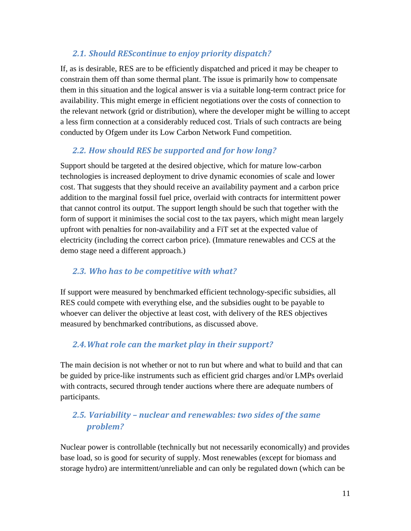### *2.1. Should REScontinue to enjoy priority dispatch?*

If, as is desirable, RES are to be efficiently dispatched and priced it may be cheaper to constrain them off than some thermal plant. The issue is primarily how to compensate them in this situation and the logical answer is via a suitable long-term contract price for availability. This might emerge in efficient negotiations over the costs of connection to the relevant network (grid or distribution), where the developer might be willing to accept a less firm connection at a considerably reduced cost. Trials of such contracts are being conducted by Ofgem under its Low Carbon Network Fund competition.

# *2.2. How should RES be supported and for how long?*

Support should be targeted at the desired objective, which for mature low-carbon technologies is increased deployment to drive dynamic economies of scale and lower cost. That suggests that they should receive an availability payment and a carbon price addition to the marginal fossil fuel price, overlaid with contracts for intermittent power that cannot control its output. The support length should be such that together with the form of support it minimises the social cost to the tax payers, which might mean largely upfront with penalties for non-availability and a FiT set at the expected value of electricity (including the correct carbon price). (Immature renewables and CCS at the demo stage need a different approach.)

## *2.3. Who has to be competitive with what?*

If support were measured by benchmarked efficient technology-specific subsidies, all RES could compete with everything else, and the subsidies ought to be payable to whoever can deliver the objective at least cost, with delivery of the RES objectives measured by benchmarked contributions, as discussed above.

# *2.4.What role can the market play in their support?*

The main decision is not whether or not to run but where and what to build and that can be guided by price-like instruments such as efficient grid charges and/or LMPs overlaid with contracts, secured through tender auctions where there are adequate numbers of participants.

# *2.5. Variability – nuclear and renewables: two sides of the same problem?*

Nuclear power is controllable (technically but not necessarily economically) and provides base load, so is good for security of supply. Most renewables (except for biomass and storage hydro) are intermittent/unreliable and can only be regulated down (which can be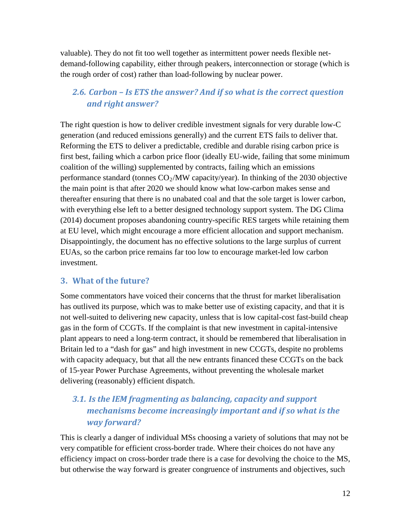valuable). They do not fit too well together as intermittent power needs flexible netdemand-following capability, either through peakers, interconnection or storage (which is the rough order of cost) rather than load-following by nuclear power.

## *2.6. Carbon – Is ETS the answer? And if so what is the correct question and right answer?*

The right question is how to deliver credible investment signals for very durable low-C generation (and reduced emissions generally) and the current ETS fails to deliver that. Reforming the ETS to deliver a predictable, credible and durable rising carbon price is first best, failing which a carbon price floor (ideally EU-wide, failing that some minimum coalition of the willing) supplemented by contracts, failing which an emissions performance standard (tonnes  $CO_2/MW$  capacity/year). In thinking of the 2030 objective the main point is that after 2020 we should know what low-carbon makes sense and thereafter ensuring that there is no unabated coal and that the sole target is lower carbon, with everything else left to a better designed technology support system. The DG Clima (2014) document proposes abandoning country-specific RES targets while retaining them at EU level, which might encourage a more efficient allocation and support mechanism. Disappointingly, the document has no effective solutions to the large surplus of current EUAs, so the carbon price remains far too low to encourage market-led low carbon investment.

#### **3. What of the future?**

Some commentators have voiced their concerns that the thrust for market liberalisation has outlived its purpose, which was to make better use of existing capacity, and that it is not well-suited to delivering new capacity, unless that is low capital-cost fast-build cheap gas in the form of CCGTs. If the complaint is that new investment in capital-intensive plant appears to need a long-term contract, it should be remembered that liberalisation in Britain led to a "dash for gas" and high investment in new CCGTs, despite no problems with capacity adequacy, but that all the new entrants financed these CCGTs on the back of 15-year Power Purchase Agreements, without preventing the wholesale market delivering (reasonably) efficient dispatch.

# *3.1. Is the IEM fragmenting as balancing, capacity and support mechanisms become increasingly important and if so what is the way forward?*

This is clearly a danger of individual MSs choosing a variety of solutions that may not be very compatible for efficient cross-border trade. Where their choices do not have any efficiency impact on cross-border trade there is a case for devolving the choice to the MS, but otherwise the way forward is greater congruence of instruments and objectives, such